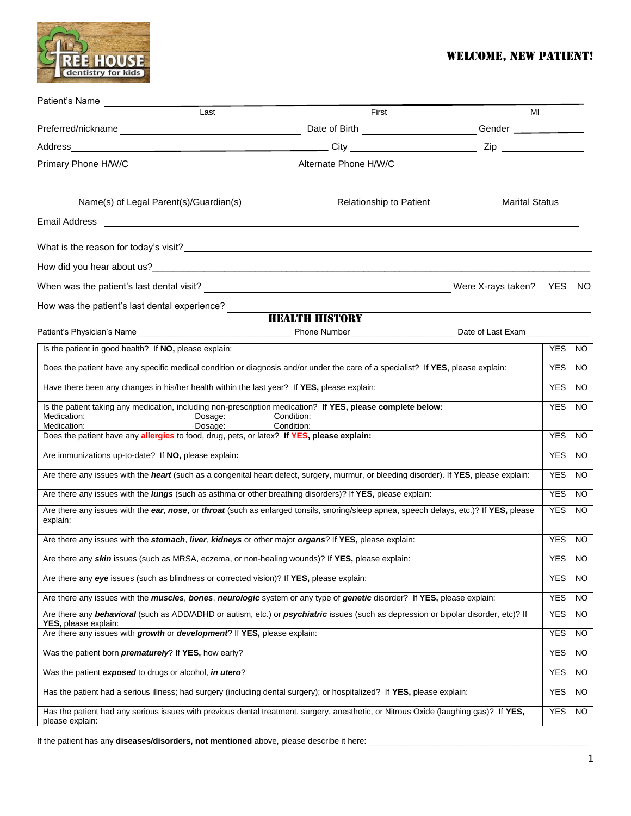

# WELCOME, NEW PATIENT!

| Patient's Name                                                                                                                                                                                                                       |                                                                         |                        |            |                |
|--------------------------------------------------------------------------------------------------------------------------------------------------------------------------------------------------------------------------------------|-------------------------------------------------------------------------|------------------------|------------|----------------|
| Last                                                                                                                                                                                                                                 | First                                                                   | MI                     |            |                |
|                                                                                                                                                                                                                                      |                                                                         |                        |            |                |
|                                                                                                                                                                                                                                      |                                                                         |                        |            |                |
|                                                                                                                                                                                                                                      |                                                                         |                        |            |                |
| Name(s) of Legal Parent(s)/Guardian(s)                                                                                                                                                                                               | Relationship to Patient                                                 | <b>Marital Status</b>  |            |                |
| Email Address <b>Lawrence and Contract Contract Contract Contract Contract Contract Contract Contract Contract Contract Contract Contract Contract Contract Contract Contract Contract Contract Contract Contract Contract Contr</b> |                                                                         |                        |            |                |
|                                                                                                                                                                                                                                      |                                                                         |                        |            |                |
|                                                                                                                                                                                                                                      |                                                                         |                        |            |                |
| When was the patient's last dental visit?                                                                                                                                                                                            | <u> 1989 - Johann Barn, fransk politik amerikansk politik (d. 1989)</u> | Were X-rays taken? YES |            | NO.            |
| How was the patient's last dental experience?                                                                                                                                                                                        |                                                                         |                        |            |                |
|                                                                                                                                                                                                                                      | <b>HEALTH HISTORY</b>                                                   |                        |            |                |
| Patient's Physician's Name                                                                                                                                                                                                           |                                                                         | Date of Last Exam      |            |                |
| Is the patient in good health? If NO, please explain:                                                                                                                                                                                |                                                                         |                        | YES NO     |                |
| Does the patient have any specific medical condition or diagnosis and/or under the care of a specialist? If YES, please explain:                                                                                                     |                                                                         |                        | YES NO     |                |
| Have there been any changes in his/her health within the last year? If YES, please explain:                                                                                                                                          |                                                                         |                        | YES NO     |                |
| Is the patient taking any medication, including non-prescription medication? If YES, please complete below:<br>Medication:<br>Dosage:<br>Medication:<br>Dosage:                                                                      | Condition:<br>Condition:                                                |                        | <b>YES</b> | NO.            |
| Does the patient have any allergies to food, drug, pets, or latex? If YES, please explain:                                                                                                                                           |                                                                         |                        | YES NO     |                |
| Are immunizations up-to-date? If NO, please explain:                                                                                                                                                                                 |                                                                         |                        | <b>YES</b> | NO.            |
| Are there any issues with the heart (such as a congenital heart defect, surgery, murmur, or bleeding disorder). If YES, please explain:                                                                                              |                                                                         |                        | YES NO     |                |
| Are there any issues with the <i>lungs</i> (such as asthma or other breathing disorders)? If YES, please explain:                                                                                                                    |                                                                         |                        | YES NO     |                |
| Are there any issues with the ear, nose, or throat (such as enlarged tonsils, snoring/sleep apnea, speech delays, etc.)? If YES, please<br>explain:                                                                                  |                                                                         |                        | YES NO     |                |
| Are there any issues with the <i>stomach, liver, kidneys</i> or other major <i>organs</i> ? If YES, please explain:                                                                                                                  |                                                                         |                        | <b>YES</b> | <b>NO</b>      |
| Are there any <i>skin</i> issues (such as MRSA, eczema, or non-healing wounds)? If YES, please explain:                                                                                                                              |                                                                         |                        | <b>YES</b> | N <sub>O</sub> |
| Are there any eye issues (such as blindness or corrected vision)? If YES, please explain:                                                                                                                                            |                                                                         |                        | <b>YES</b> | NO.            |
| Are there any issues with the <i>muscles</i> , bones, neurologic system or any type of genetic disorder? If YES, please explain:                                                                                                     |                                                                         |                        |            | <b>NO</b>      |
| Are there any <b>behavioral</b> (such as ADD/ADHD or autism, etc.) or <i>psychiatric</i> issues (such as depression or bipolar disorder, etc)? If<br><b>YES</b> , please explain:                                                    |                                                                         |                        | <b>YES</b> | NO.            |
| Are there any issues with growth or development? If YES, please explain:                                                                                                                                                             |                                                                         |                        | <b>YES</b> | <b>NO</b>      |
| Was the patient born <i>prematurely</i> ? If YES, how early?                                                                                                                                                                         |                                                                         |                        | <b>YES</b> | NO.            |
| Was the patient exposed to drugs or alcohol, in utero?                                                                                                                                                                               |                                                                         |                        |            | <b>NO</b>      |
| Has the patient had a serious illness; had surgery (including dental surgery); or hospitalized? If YES, please explain:                                                                                                              |                                                                         |                        |            | <b>NO</b>      |
| Has the patient had any serious issues with previous dental treatment, surgery, anesthetic, or Nitrous Oxide (laughing gas)? If YES,<br>please explain:                                                                              |                                                                         |                        |            | YES NO         |

If the patient has any **diseases/disorders, not mentioned** above, please describe it here: \_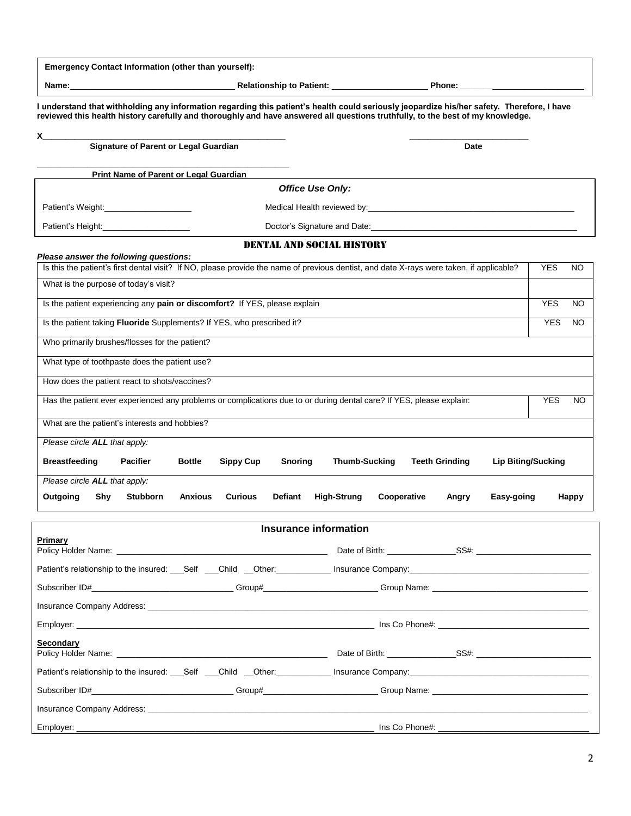| Emergency Contact Information (other than yourself):                                                                                                                                                                                                                         |                                  |             |            |           |
|------------------------------------------------------------------------------------------------------------------------------------------------------------------------------------------------------------------------------------------------------------------------------|----------------------------------|-------------|------------|-----------|
| Name: Mame: Manner Manner Manner Manner Manner Manner Manner Manner Manner Manner Manner Manner Manner Manner M                                                                                                                                                              |                                  |             |            |           |
| I understand that withholding any information regarding this patient's health could seriously jeopardize his/her safety. Therefore, I have<br>reviewed this health history carefully and thoroughly and have answered all questions truthfully, to the best of my knowledge. |                                  |             |            |           |
| x<br>Signature of Parent or Legal Guardian                                                                                                                                                                                                                                   |                                  | <b>Date</b> |            |           |
| <b>Print Name of Parent or Legal Guardian</b>                                                                                                                                                                                                                                |                                  |             |            |           |
|                                                                                                                                                                                                                                                                              | <b>Office Use Only:</b>          |             |            |           |
| Patient's Weight: <u>_______________</u>                                                                                                                                                                                                                                     |                                  |             |            |           |
| Patient's Height:<br><u> </u>                                                                                                                                                                                                                                                |                                  |             |            |           |
|                                                                                                                                                                                                                                                                              | <b>DENTAL AND SOCIAL HISTORY</b> |             |            |           |
| Please answer the following questions:<br>Is this the patient's first dental visit? If NO, please provide the name of previous dentist, and date X-rays were taken, if applicable?                                                                                           |                                  |             | <b>YES</b> | <b>NO</b> |
| What is the purpose of today's visit?                                                                                                                                                                                                                                        |                                  |             |            |           |
| Is the patient experiencing any pain or discomfort? If YES, please explain                                                                                                                                                                                                   |                                  |             | <b>YES</b> | <b>NO</b> |
| Is the patient taking <b>Fluoride</b> Supplements? If YES, who prescribed it?                                                                                                                                                                                                |                                  |             | <b>YES</b> | NO.       |
| Who primarily brushes/flosses for the patient?                                                                                                                                                                                                                               |                                  |             |            |           |
| What type of toothpaste does the patient use?                                                                                                                                                                                                                                |                                  |             |            |           |
| How does the patient react to shots/vaccines?                                                                                                                                                                                                                                |                                  |             |            |           |
| Has the patient ever experienced any problems or complications due to or during dental care? If YES, please explain:                                                                                                                                                         |                                  |             | <b>YES</b> | NO.       |
| What are the patient's interests and hobbies?                                                                                                                                                                                                                                |                                  |             |            |           |

*Please circle ALL that apply:*

| <b>Breastfeeding</b>                 |     | Pacifier        | <b>Bottle</b>  | Sippy Cup | Snorina        | Thumb-Sucking |             | <b>Teeth Grinding</b> | Lip Biting/Sucking |       |
|--------------------------------------|-----|-----------------|----------------|-----------|----------------|---------------|-------------|-----------------------|--------------------|-------|
| Please circle <b>ALL</b> that apply: |     |                 |                |           |                |               |             |                       |                    |       |
| Outgoing                             | Shv | <b>Stubborn</b> | <b>Anxious</b> | Curious   | <b>Defiant</b> | High-Strung   | Cooperative | Angry                 | Easy-going         | Happy |

| <b>Insurance information</b>                                                                                         |  |  |  |  |
|----------------------------------------------------------------------------------------------------------------------|--|--|--|--|
| Primary                                                                                                              |  |  |  |  |
| Patient's relationship to the insured: Self Colild Cother: Company Insurance Company:                                |  |  |  |  |
| Subscriber ID#_______________________________Group#_______________________Group Name: ______________________________ |  |  |  |  |
|                                                                                                                      |  |  |  |  |
|                                                                                                                      |  |  |  |  |
| Secondary                                                                                                            |  |  |  |  |
|                                                                                                                      |  |  |  |  |
| Subscriber ID#______________________________Group#______________________Group Name: __________________________       |  |  |  |  |
|                                                                                                                      |  |  |  |  |
|                                                                                                                      |  |  |  |  |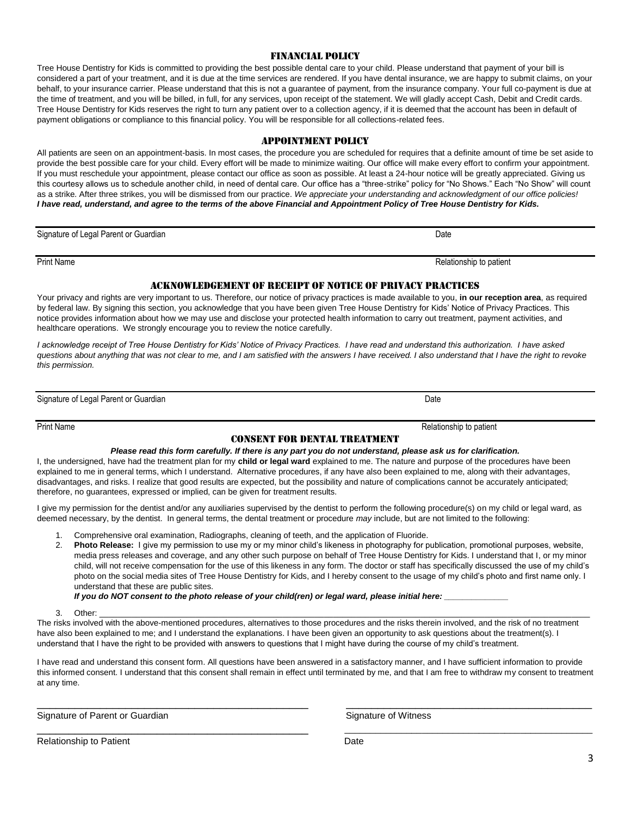### Financial Policy

Tree House Dentistry for Kids is committed to providing the best possible dental care to your child. Please understand that payment of your bill is considered a part of your treatment, and it is due at the time services are rendered. If you have dental insurance, we are happy to submit claims, on your behalf, to your insurance carrier. Please understand that this is not a guarantee of payment, from the insurance company. Your full co-payment is due at the time of treatment, and you will be billed, in full, for any services, upon receipt of the statement. We will gladly accept Cash, Debit and Credit cards. Tree House Dentistry for Kids reserves the right to turn any patient over to a collection agency, if it is deemed that the account has been in default of payment obligations or compliance to this financial policy. You will be responsible for all collections-related fees.

#### Appointment Policy

All patients are seen on an appointment-basis. In most cases, the procedure you are scheduled for requires that a definite amount of time be set aside to provide the best possible care for your child. Every effort will be made to minimize waiting. Our office will make every effort to confirm your appointment. If you must reschedule your appointment, please contact our office as soon as possible. At least a 24-hour notice will be greatly appreciated. Giving us this courtesy allows us to schedule another child, in need of dental care. Our office has a "three-strike" policy for "No Shows." Each "No Show" will count as a strike. After three strikes, you will be dismissed from our practice. *We appreciate your understanding and acknowledgment of our office policies! I have read, understand, and agree to the terms of the above Financial and Appointment Policy of Tree House Dentistry for Kids.*

Signature of Legal Parent or Guardian Date of Legal Parent or Guardian Date of Legal Date of Legal Parent or Guardian Date of Legal Date of Legal Date of Legal Date of Legal Date of Legal Date of Legal Date of Legal Date o

Print Name Relationship to patient American control of the Relationship to patient American control of the Relationship to patient American control of the Relationship to patient American control of the Relationship to pat

### Acknowledgement of receipt of notice of privacy practices

Your privacy and rights are very important to us. Therefore, our notice of privacy practices is made available to you, **in our reception area**, as required by federal law. By signing this section, you acknowledge that you have been given Tree House Dentistry for Kids' Notice of Privacy Practices. This notice provides information about how we may use and disclose your protected health information to carry out treatment, payment activities, and healthcare operations. We strongly encourage you to review the notice carefully.

*I acknowledge receipt of Tree House Dentistry for Kids' Notice of Privacy Practices. I have read and understand this authorization. I have asked questions about anything that was not clear to me, and I am satisfied with the answers I have received. I also understand that I have the right to revoke this permission.*

Signature of Legal Parent or Guardian Date of Legal Parent of Legal Date of Legal Date of Legal Date of Legal Date of Date of Date of Date of Date of Date of Date of Date of Date of Date of Date of Date of Date of Date of

Print Name Relationship to patient Name Relationship to patient Name Relationship to patient

## Consent for dental treatment

#### *Please read this form carefully. If there is any part you do not understand, please ask us for clarification.*

I, the undersigned, have had the treatment plan for my **child or legal ward** explained to me. The nature and purpose of the procedures have been explained to me in general terms, which I understand. Alternative procedures, if any have also been explained to me, along with their advantages, disadvantages, and risks. I realize that good results are expected, but the possibility and nature of complications cannot be accurately anticipated; therefore, no guarantees, expressed or implied, can be given for treatment results.

I give my permission for the dentist and/or any auxiliaries supervised by the dentist to perform the following procedure(s) on my child or legal ward, as deemed necessary, by the dentist. In general terms, the dental treatment or procedure *may* include, but are not limited to the following:

- 1. Comprehensive oral examination, Radiographs, cleaning of teeth, and the application of Fluoride.
- 2. **Photo Release:** I give my permission to use my or my minor child's likeness in photography for publication, promotional purposes, website, media press releases and coverage, and any other such purpose on behalf of Tree House Dentistry for Kids. I understand that I, or my minor child, will not receive compensation for the use of this likeness in any form. The doctor or staff has specifically discussed the use of my child's photo on the social media sites of Tree House Dentistry for Kids, and I hereby consent to the usage of my child's photo and first name only. I understand that these are public sites.

*If you do NOT consent to the photo release of your child(ren) or legal ward, please initial here:* 

3. Other: \_\_\_\_\_\_\_\_\_\_\_\_\_\_\_\_\_\_\_\_\_\_\_\_\_\_\_\_\_\_\_\_\_\_\_\_\_\_\_\_\_\_\_\_\_\_\_\_\_\_\_\_\_\_\_\_\_\_\_\_\_\_\_\_\_\_\_\_\_\_\_\_\_\_\_\_\_\_\_\_\_\_\_\_\_\_\_\_\_\_\_\_\_\_\_\_\_\_\_\_\_\_\_\_\_\_\_

The risks involved with the above-mentioned procedures, alternatives to those procedures and the risks therein involved, and the risk of no treatment have also been explained to me; and I understand the explanations. I have been given an opportunity to ask questions about the treatment(s). I understand that I have the right to be provided with answers to questions that I might have during the course of my child's treatment.

I have read and understand this consent form. All questions have been answered in a satisfactory manner, and I have sufficient information to provide this informed consent. I understand that this consent shall remain in effect until terminated by me, and that I am free to withdraw my consent to treatment at any time.

\_\_\_\_\_\_\_\_\_\_\_\_\_\_\_\_\_\_\_\_\_\_\_\_\_\_\_\_\_\_\_\_\_\_\_\_\_\_\_\_\_\_\_ \_\_\_\_\_\_\_\_\_\_\_\_\_\_\_\_\_\_\_\_\_\_\_\_\_\_\_\_\_\_\_\_\_\_\_\_\_\_\_

 $\_$  ,  $\_$  ,  $\_$  ,  $\_$  ,  $\_$  ,  $\_$  ,  $\_$  ,  $\_$  ,  $\_$  ,  $\_$  ,  $\_$  ,  $\_$  ,  $\_$  ,  $\_$  ,  $\_$  ,  $\_$  ,  $\_$  ,  $\_$  ,  $\_$  ,  $\_$  ,  $\_$  ,  $\_$  ,  $\_$  ,  $\_$  ,  $\_$  ,  $\_$  ,  $\_$  ,  $\_$  ,  $\_$  ,  $\_$  ,  $\_$  ,  $\_$  ,  $\_$  ,  $\_$  ,  $\_$  ,  $\_$  ,  $\_$  ,

Signature of Parent or Guardian Signature of Witness

Relationship to Patient **Date** Date **Date** Date **Date** 

3